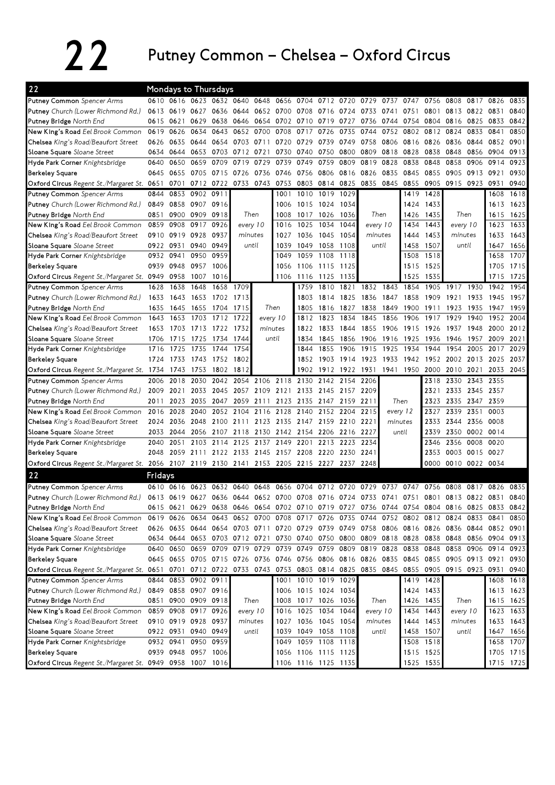## 22 Putney Common – Chelsea – Oxford Circus

| 22                                                                                                                              |         |                |                     | <b>Mondays to Thursdays</b>   |           |                |                          |                                                             |                     |           |                |           |           |           |                                                                                           |                |                     |           |
|---------------------------------------------------------------------------------------------------------------------------------|---------|----------------|---------------------|-------------------------------|-----------|----------------|--------------------------|-------------------------------------------------------------|---------------------|-----------|----------------|-----------|-----------|-----------|-------------------------------------------------------------------------------------------|----------------|---------------------|-----------|
| <b>Putney Common</b> Spencer Arms                                                                                               |         |                |                     |                               |           |                |                          | 0610 0616 0623 0632 0640 0648 0656 0704 0712 0720 0729 0737 |                     |           |                |           | 0747      |           | 0756 0808 0817                                                                            |                | 0826                | 0835      |
| Putney Church (Lower Richmond Rd.)                                                                                              |         |                |                     |                               |           |                |                          | 0613 0619 0627 0636 0644 0652 0700 0708 0716 0724 0733 0741 |                     |           |                |           | 0751      | 0801      | 0813 0822                                                                                 |                | 0831                | 0840      |
| Putney Bridge North End                                                                                                         | 0615    | 0621           | 0629                | 0638                          |           |                |                          | 0646 0654 0702 0710 0719 0727 0736                          |                     |           |                | 0744      | 0754      |           | 0804 0816 0825                                                                            |                | 0833                | 0842      |
| New King's Road Eel Brook Common                                                                                                | 0619    | 0626           | 0634                | 0643                          |           | 0652 0700      | 0708                     | 0717                                                        | 0726                | 0735      | 0744           | 0752      | 0802      | 0812      | 0824                                                                                      | 0833           | 0841                | 0850      |
| Chelsea King's Road/Beaufort Street                                                                                             | 0626    | 0635           | 0644                | 0654                          | 0703      | 0711           | 0720                     | 0729                                                        | 0739                | 0749      | 0758           | 0806      | 0816      | 0826      | 0836                                                                                      | 0844           | 0852                | 0901      |
| Sloane Square Sloane Street                                                                                                     |         | 0634 0644      | 0653                | 0703                          | 0712 0721 |                | 0730                     | 0740                                                        | 0750                | 0800      | 0809           | 0818      | 0828      | 0838      | 0848                                                                                      | 0856           | 0904                | 0913      |
| Hyde Park Corner Knightsbridge                                                                                                  | 0640    | 0650           | 0659                | 0709                          | 0719      | 0729           | 0739                     | 0749                                                        | 0759                | 0809      | 0819           | 0828      | 0838      | 0848      | 0858                                                                                      | 0906           | 0914                | 0923      |
| <b>Berkeley Square</b>                                                                                                          |         | 0645 0655      | 0705 0715           |                               | 0726 0736 |                | 0746                     | 0756 0806                                                   |                     |           | 0816 0826      | 0835      | 0845      | 0855      | 0905                                                                                      | 0913           | 0921                | 0930      |
| Oxford Circus Regent St./Margaret St. 0651                                                                                      |         |                |                     |                               |           |                |                          | 0701 0712 0722 0733 0743 0753 0803 0814                     |                     | 0825      | 0835 0845 0855 |           |           | 0905      | 0915 0923                                                                                 |                | 0931                | 0940      |
| Putney Common Spencer Arms                                                                                                      | 0844    | 0853           | 0902 0911           |                               |           |                | 1001                     |                                                             | 1010 1019           | 1029      |                |           | 1419      | 1428      |                                                                                           |                | 1608                | 1618      |
| Putney Church (Lower Richmond Rd.)                                                                                              | 0849    | 0858           | 0907                | 0916                          |           |                | 1006                     | 1015 1024                                                   |                     | 1034      |                |           | 1424      | 1433      |                                                                                           |                | 1613                | 1623      |
| Putney Bridge North End                                                                                                         | 0851    | 0900           | 0909                | 0918                          |           | Then           | 1008                     | 1017 1026                                                   |                     | 1036      | Then           |           | 1426      | 1435      | Then                                                                                      |                | 1615                | 1625      |
| New King's Road Eel Brook Common                                                                                                | 0859    | 0908           | 0917                | 0926                          | every 10  |                | 1016                     |                                                             | 1025 1034           | 1044      | every 10       |           | 1434      | 1443      | every 10                                                                                  |                | 1623                | 1633      |
| Chelsea King's Road/Beaufort Street                                                                                             |         | 0910 0919 0928 |                     | 0937                          |           | minutes        | 1027                     | 1036                                                        | 1045                | 1054      | minutes        |           | 1444      | 1453      | minutes                                                                                   |                | 1633                | 1643      |
| Sloane Square Sloane Street                                                                                                     |         | 0922 0931      | 0940                | 0949                          |           | until          | 1039                     | 1049                                                        | 1058                | 1108      | until          |           | 1458      | 1507      | until                                                                                     |                | 1647                | 1656      |
| Hyde Park Corner Knightsbridge                                                                                                  |         | 0932 0941      | 0950                | 0959                          |           |                | 1049                     |                                                             | 1059 1108           | 1118      |                |           | 1508      | 1518      |                                                                                           |                | 1658                | 1707      |
| <b>Berkeley Square</b>                                                                                                          |         | 0939 0948      | 0957                | 1006                          |           |                | 1056                     |                                                             | 1106 1115           | 1125      |                |           | 1515      | 1525      |                                                                                           |                | 1705                | 1715      |
| Oxford Circus Regent St./Margaret St. 0949                                                                                      |         | 0958           | 1007                | 1016                          |           |                | 1106                     | 1116 1125                                                   |                     | 1135      |                |           | 1525      | 1535      |                                                                                           |                | 1715                | 1725      |
| <b>Putney Common</b> Spencer Arms                                                                                               | 1628    | 1638           | 1648                | 1658                          | 1709      |                |                          | 1759                                                        | 1810                | 1821      |                | 1832 1843 | 1854      | 1905      | 1917                                                                                      | 1930           | 1942                | 1954      |
| Putney Church (Lower Richmond Rd.)                                                                                              | 1633    | 1643           |                     | 1653 1702                     | 1713      |                |                          | 1803                                                        | 1814                | 1825      | 1836           | 1847      | 1858      | 1909      | 1921                                                                                      | 1933           | 1945                | 1957      |
| Putney Bridge North End                                                                                                         | 1635    | 1645           | 1655                | 1704                          | 1715      |                | Then                     | 1805                                                        | 1816                | 1827      | 1838           | 1849      | 1900      | 1911      | 1923                                                                                      | 1935           | 1947                | 1959      |
| New King's Road Eel Brook Common                                                                                                | 1643    | 1653           | 1703                | 1712                          | 1722      |                | every 10                 | 1812                                                        | 1823                | 1834      | 1845           | 1856      | 1906      | 1917      | 1929                                                                                      | 1940           | 1952                | 2004      |
| Chelsea King's Road/Beaufort Street                                                                                             | 1653    | 1703           | 1713 1722           |                               | 1732      |                | minutes                  | 1822                                                        | 1833                | 1844      | 1855           | 1906      | 1915      | 1926      | 1937                                                                                      | 1948           | 2000                | 2012      |
| Sloane Square Sloane Street                                                                                                     | 1706    | 1715           | 1725                | 1734                          | 1744      |                | until                    | 1834                                                        | 1845                | 1856      | 1906           | 1916      | 1925      | 1936      | 1946                                                                                      | 1957           | 2009                | 2021      |
| Hyde Park Corner Knightsbridge                                                                                                  | 1716    | 1725           | 1735                | 1744                          | 1754      |                |                          | 1844                                                        | 1855                | 1906      | 1915           | 1925      | 1934      | 1944      | 1954                                                                                      | 2005           | 2017                | 2029      |
| <b>Berkeley Square</b>                                                                                                          |         | 1724 1733      | 1743 1752           |                               | 1802      |                |                          | 1852                                                        | 1903                | 1914 1923 |                | 1933      |           |           | 1942 1952 2002 2013                                                                       |                | 2025                | 2037      |
| Oxford Circus Regent St./Margaret St. 1734 1743                                                                                 |         |                | 1753                | 1802                          | 1812      |                |                          | 1902                                                        | 1912                | 1922 1931 |                |           | 1941 1950 | 2000      | 2010 2021                                                                                 |                |                     | 2033 2045 |
| Putney Common Spencer Arms                                                                                                      | 2006    | 2018           | 2030                | 2042                          |           | 2054 2106 2118 |                          | 2130                                                        | 2142                | 2154      | 2206           |           |           | 2318      | 2330                                                                                      | 2343           | 2355                |           |
| Putney Church (Lower Richmond Rd.)                                                                                              | 2009    | 2021           |                     |                               |           |                | 2033 2045 2057 2109 2121 |                                                             | 2133 2145 2157 2209 |           |                |           |           | 2321      |                                                                                           | 2333 2345 2357 |                     |           |
| Putney Bridge North End                                                                                                         | 2011    | 2023           |                     |                               |           |                |                          | 2035 2047 2059 2111 2123 2135 2147 2159 2211                |                     |           |                |           | Then      | 2323      | 2335 2347 2359                                                                            |                |                     |           |
| New King's Road Eel Brook Common                                                                                                | 2016    | 2028           | 2040                | 2052                          | 2104      | 2116           | 2128                     |                                                             | 2140 2152 2204      |           | 2215           |           | every 12  | 2327      | 2339 2351                                                                                 |                | 0003                |           |
| Chelsea King's Road/Beaufort Street                                                                                             |         |                |                     | 2024 2036 2048 2100 2111      |           |                | 2123 2135                | 2147 2159 2210 2221                                         |                     |           |                | minutes   |           | 2333      | 2344 2356                                                                                 |                | 0008                |           |
| Sloane Square Sloane Street                                                                                                     | 2033    | 2044           |                     | 2056 2107                     | 2118      |                | 2130 2142                |                                                             | 2154 2206           | 2216 2227 |                |           | until     | 2339      | 2350 0002                                                                                 |                | 0014                |           |
| Hyde Park Corner Knightsbridge                                                                                                  | 2040    | 2051           | 2103                | 2114                          | 2125      | 2137           | 2149                     | 2201                                                        | 2213                | 2223      | 2234           |           |           | 2346      | 2356                                                                                      | 0008           | 0020                |           |
| <b>Berkeley Square</b>                                                                                                          | 2048    |                |                     |                               |           |                |                          | 2059 2111 2122 2133 2145 2157 2208 2220 2230 2241           |                     |           |                |           |           | 2353      | 0003 0015 0027                                                                            |                |                     |           |
| Oxford Circus Regent St./Margaret St. 2056 2107 2119 2130 2141 2153 2205 2215 2227 2237 2248                                    |         |                |                     |                               |           |                |                          |                                                             |                     |           |                |           |           | 0000      |                                                                                           | 0010 0022 0034 |                     |           |
| 22                                                                                                                              | Fridays |                |                     |                               |           |                |                          |                                                             |                     |           |                |           |           |           |                                                                                           |                |                     |           |
| <b>Putney Common</b> Spencer Arms                                                                                               |         |                |                     | 0610 0616 0623 0632 0640 0648 |           |                |                          | 0656 0704 0712 0720 0729 0737                               |                     |           |                |           | 0747      | 0756      | 0808                                                                                      | 0817           | 0826                | 0835      |
|                                                                                                                                 |         |                |                     |                               |           |                |                          |                                                             |                     |           |                |           |           |           | 0613 0619 0627 0636 0644 0652 0700 0708 0716 0724 0733 0741 0751 0801 0813 0822 0831      |                |                     | 0840      |
| Putney Church (Lower Richmond Rd.)<br>Putney Bridge North End                                                                   |         |                |                     |                               |           |                |                          |                                                             |                     |           |                |           |           |           |                                                                                           |                |                     |           |
|                                                                                                                                 |         |                |                     |                               |           |                |                          |                                                             |                     |           |                |           |           |           | 0615 0621 0629 0638 0646 0654 0702 0710 0719 0727 0736 0744 0754 0804 0816 0825 0833 0842 |                |                     | 0850      |
| New King's Road Eel Brook Common                                                                                                |         |                |                     |                               |           |                |                          |                                                             |                     |           |                |           |           |           | 0619 0626 0634 0643 0652 0700 0708 0717 0726 0735 0744 0752 0802 0812 0824 0833 0841      |                |                     |           |
| Chelsea King's Road/Beaufort Street                                                                                             |         |                |                     |                               |           |                |                          |                                                             |                     |           |                |           |           |           | 0626 0635 0644 0654 0703 0711 0720 0729 0739 0749 0758 0806 0816 0826 0836 0844 0852 0901 |                |                     |           |
| Sloane Square Sloane Street                                                                                                     |         |                |                     |                               |           |                |                          |                                                             |                     |           |                |           |           |           | 0634 0644 0653 0703 0712 0721 0730 0740 0750 0800 0809 0818 0828 0838 0848 0856 0904      |                |                     | 0913      |
| Hyde Park Corner Knightsbridge                                                                                                  |         |                |                     |                               |           |                |                          | 0640 0650 0659 0709 0719 0729 0739 0749 0759 0809 0819 0828 |                     |           |                |           | 0838 0848 |           |                                                                                           |                | 0858 0906 0914 0923 |           |
| <b>Berkeley Square</b>                                                                                                          |         |                |                     |                               |           |                |                          |                                                             |                     |           |                |           |           |           | 0645 0655 0705 0715 0726 0736 0746 0756 0806 0816 0826 0835 0845 0855 0905 0913 0921 0930 |                |                     |           |
| Oxford Circus Regent St./Margaret St. 0651 0701 0712 0722 0733 0743 0753 0803 0814 0825 0835 0845 0855 0905 0915 0923 0931 0940 |         |                |                     |                               |           |                |                          |                                                             |                     |           |                |           |           |           |                                                                                           |                |                     |           |
| <b>Putney Common</b> Spencer Arms                                                                                               |         |                | 0844 0853 0902 0911 |                               |           |                |                          | 1001 1010 1019 1029                                         |                     |           |                |           |           | 1419 1428 |                                                                                           |                |                     | 1608 1618 |
| Putney Church (Lower Richmond Rd.)                                                                                              |         |                | 0849 0858 0907 0916 |                               |           |                | 1006                     | 1015 1024 1034                                              |                     |           |                |           | 1424      | 1433      |                                                                                           |                |                     | 1613 1623 |
| Putney Bridge North End                                                                                                         |         |                | 0851 0900 0909 0918 |                               |           | Then           |                          | 1008 1017 1026 1036                                         |                     |           | Then           |           |           | 1426 1435 |                                                                                           | Then           |                     | 1615 1625 |
| New King's Road Eel Brook Common                                                                                                |         |                | 0859 0908 0917 0926 |                               |           | every 10       | 1016                     |                                                             | 1025 1034           | 1044      | every 10       |           | 1434      | 1443      |                                                                                           | every 10       |                     | 1623 1633 |
| Chelsea King's Road/Beaufort Street                                                                                             |         |                | 0910 0919 0928 0937 |                               |           | minutes        | 1027                     |                                                             | 1036 1045 1054      |           | minutes        |           | 1444      | 1453      | minutes                                                                                   |                |                     | 1633 1643 |
| Sloane Square Sloane Street                                                                                                     |         |                | 0922 0931 0940 0949 |                               |           | until          | 1039                     |                                                             | 1049 1058 1108      |           |                | until     | 1458      | 1507      |                                                                                           | until          |                     | 1647 1656 |
| Hyde Park Corner Knightsbridge                                                                                                  |         | 0932 0941      |                     | 0950 0959                     |           |                | 1049                     |                                                             | 1059 1108           | 1118      |                |           | 1508      | 1518      |                                                                                           |                |                     | 1658 1707 |
| <b>Berkeley Square</b>                                                                                                          |         |                | 0939 0948 0957 1006 |                               |           |                |                          | 1056 1106 1115 1125                                         |                     |           |                |           |           | 1515 1525 |                                                                                           |                |                     | 1705 1715 |
| Oxford Circus Regent St./Margaret St. 0949 0958 1007 1016                                                                       |         |                |                     |                               |           |                |                          | 1106 1116 1125 1135                                         |                     |           |                |           |           | 1525 1535 |                                                                                           |                |                     | 1715 1725 |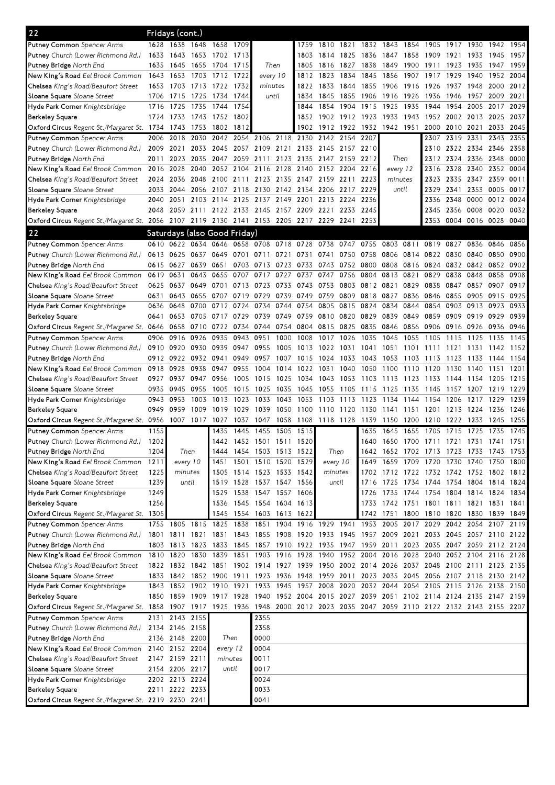| 22                                                                                                                              |              | Fridays (cont.) |                |                              |              |                                                                                           |              |              |                     |              |              |                                              |              |                |                |                |                                    |              |
|---------------------------------------------------------------------------------------------------------------------------------|--------------|-----------------|----------------|------------------------------|--------------|-------------------------------------------------------------------------------------------|--------------|--------------|---------------------|--------------|--------------|----------------------------------------------|--------------|----------------|----------------|----------------|------------------------------------|--------------|
| Putney Common Spencer Arms                                                                                                      | 1628         |                 | 1638 1648 1658 |                              | 1709         |                                                                                           |              | 1759         | 1810                | 1821         |              | 1832 1843                                    | 1854         | 1905           | 1917           | 1930           | 1942                               | 1954         |
| Putney Church (Lower Richmond Rd.)                                                                                              | 1633         | 1643            | 1653           | 1702                         | 1713         |                                                                                           |              | 1803         | 1814                | 1825         | 1836         | 1847                                         | 1858         | 1909           | 1921           | 1933           | 1945                               | 1957         |
| Putney Bridge North End                                                                                                         | 1635         | 1645            | 1655 1704      |                              | 1715         | Then                                                                                      |              | 1805         | 1816                | 1827         | 1838         | 1849                                         | 1900         | 1911           | 1923           | 1935           | 1947                               | 1959         |
| New King's Road Eel Brook Common                                                                                                | 1643         | 1653            | 1703           | 1712                         | 1722         | every 10                                                                                  |              | 1812         | 1823                | 1834         | 1845         | 1856                                         | 1907         | 1917           | 1929           | 1940           | 1952                               | 2004         |
| Chelsea King's Road/Beaufort Street                                                                                             | 1653         | 1703            | 1713           | 1722                         | 1732         | minutes                                                                                   |              | 1822         | 1833                | 1844         | 1855         | 1906                                         | 1916         | 1926           | 1937           | 1948           | 2000                               | 2012         |
| Sloane Square Sloane Street                                                                                                     | 1706         | 1715            | 1725           | 1734                         | 1744         | until                                                                                     |              | 1834         | 1845                | 1855         | 1906         | 1916                                         | 1926         | 1936           | 1946           | 1957           | 2009                               | 2021         |
| Hyde Park Corner Knightsbridge                                                                                                  | 1716         | 1725            | 1735           | 1744                         | 1754         |                                                                                           |              | 1844         | 1854                | 1904         | 1915         | 1925                                         | 1935         | 1944           | 1954           | 2005           | 2017                               | 2029         |
| <b>Berkeley Square</b>                                                                                                          | 1724         | 1733            | 1743           | 1752                         | 1802         |                                                                                           |              | 1852         | 1902                | 1912         | 1923         | 1933                                         | 1943         | 1952           | 2002           | 2013           | 2025                               | 2037         |
| Oxford Circus Regent St./Margaret St. 1734                                                                                      |              | 1743            | 1753           | 1802                         | 1812         |                                                                                           |              | 1902         | 1912                | 1922         | 1932         | 1942                                         | 1951         | 2000           | 2010           | 2021           | 2033                               | 2045         |
| Putney Common Spencer Arms                                                                                                      | 2006         | 2018            | 2030           | 2042                         |              | 2054 2106 2118                                                                            |              | 2130         | 2142                | 2154         | 2207         |                                              |              | 2307           | 2319           | 2331           | 2343                               | 2355         |
| Putney Church (Lower Richmond Rd.)                                                                                              | 2009         | 2021            | 2033           | 2045                         |              | 2057 2109 2121                                                                            |              |              | 2133 2145 2157 2210 |              |              |                                              |              |                |                |                | 2310 2322 2334 2346 2358           |              |
| Putney Bridge North End                                                                                                         | 2011         | 2023            | 2035           | 2047                         |              | 2059 2111                                                                                 | 2123         |              | 2135 2147 2159 2212 |              |              | Then                                         |              | 2312           | 2324 2336 2348 |                |                                    | 0000         |
| New King's Road Eel Brook Common                                                                                                | 2016         | 2028            | 2040           |                              | 2052 2104    | 2116 2128                                                                                 |              |              | 2140 2152 2204      |              | 2216         | every 12                                     |              | 2316           | 2328           | 2340           | 2352                               | 0004         |
| Chelsea King's Road/Beaufort Street                                                                                             | 2024         | 2036            | 2048           | 2100                         | 2111         | 2123                                                                                      | 2135         | 2147 2159    |                     | 2211         | 2223         | minutes                                      |              | 2323           | 2335           | 2347           | 2359                               | 0011         |
| Sloane Square Sloane Street                                                                                                     | 2033         | 2044            |                | 2056 2107                    |              | 2118 2130                                                                                 | 2142         | 2154 2206    |                     | 2217         | 2229         | until                                        |              | 2329           | 2341           | 2353           | 0005                               | 0017         |
| Hyde Park Corner Knightsbridge                                                                                                  | 2040         | 2051            | 2103           | 2114                         | 2125         | 2137                                                                                      | 2149         | 2201         | 2213                | 2224         | 2236         |                                              |              | 2336           | 2348           | 0000           | 0012                               | 0024         |
| <b>Berkeley Square</b>                                                                                                          | 2048         |                 |                |                              |              | 2059 2111 2122 2133 2145 2157 2209 2221 2233 2245                                         |              |              |                     |              |              |                                              |              | 2345           | 2356           | 0008           | 0020                               | 0032         |
| Oxford Circus Regent St./Margaret St. 2056 2107 2119 2130 2141 2153 2205 2217 2229 2241 2253                                    |              |                 |                |                              |              |                                                                                           |              |              |                     |              |              |                                              |              | 2353           | 0004           |                | 0016 0028 0040                     |              |
| 22                                                                                                                              |              |                 |                | Saturdays (also Good Friday) |              |                                                                                           |              |              |                     |              |              |                                              |              |                |                |                |                                    |              |
| Putney Common Spencer Arms                                                                                                      | 0610         | 0622            | 0634           | 0646                         |              | 0658 0708 0718                                                                            |              | 0728         | 0738                | 0747         | 0755         | 0803                                         | 0811         | 0819           | 0827           | 0836           | 0846                               | 0856         |
| Putney Church (Lower Richmond Rd.)                                                                                              | 0613         | 0625            | 0637           | 0649                         | 0701         | 0711                                                                                      | 0721         | 0731         | 0741                | 0750         | 0758         | 0806                                         | 0814         | 0822           | 0830           | 0840           | 0850                               | 0900         |
| Putney Bridge North End                                                                                                         | 0615         | 0627            | 0639           | 0651                         | 0703         | 0713                                                                                      | 0723         | 0733         | 0743                | 0752         | 0800         | 0808                                         | 0816         | 0824           | 0832           | 0842           | 0852                               | 0902         |
| New King's Road Eel Brook Common                                                                                                | 0619         | 0631            | 0643           | 0655                         | 0707         | 0717                                                                                      | 0727         | 0737         | 0747                | 0756         | 0804         | 0813                                         | 0821         | 0829           | 0838           | 0848           | 0858                               | 0908         |
| Chelsea King's Road/Beaufort Street                                                                                             | 0625         | 0637            | 0649           | 0701                         | 0713         | 0723                                                                                      | 0733         | 0743         | 0753                | 0803         | 0812 0821    |                                              | 0829         | 0838           | 0847           | 0857           | 0907                               | 0917         |
| Sloane Square Sloane Street                                                                                                     | 0631         | 0643            | 0655           | 0707                         | 0719         | 0729                                                                                      | 0739         | 0749         | 0759                | 0809         | 0818         | 0827                                         | 0836         | 0846           | 0855           | 0905           | 0915                               | 0925         |
| Hyde Park Corner Knightsbridge                                                                                                  | 0636         | 0648            | 0700           | 0712                         | 0724         | 0734                                                                                      | 0744         | 0754         | 0805                | 0815         | 0824         | 0834                                         | 0844         | 0854           | 0903           | 0913           | 0923                               | 0933         |
| <b>Berkeley Square</b>                                                                                                          | 0641         | 0653            | 0705 0717      |                              | 0729         | 0739                                                                                      | 0749         | 0759         | 0810                | 0820         | 0829         | 0839                                         | 0849         | 0859           | 0909           | 0919           | 0929                               | 0939         |
| Oxford Circus Regent St./Margaret St. 0646                                                                                      |              | 0658            | 0710 0722      |                              |              | 0734 0744                                                                                 | 0754         |              | 0804 0815           | 0825         | 0835         | 0846                                         | 0856         | 0906           | 0916           | 0926           | 0936                               | 0946         |
| <b>Putney Common</b> Spencer Arms                                                                                               | 0906         | 0916            | 0926           | 0935                         | 0943         | 0951                                                                                      | 1000         | 1008         | 1017                | 1026         | 1035         | 1045                                         | 1055         | 1105           | 1115           | 1125           | 1135                               | 1145         |
| Putney Church (Lower Richmond Rd.)                                                                                              | 0910         | 0920            | 0930           | 0939                         | 0947         | 0955                                                                                      | 1005         | 1013         | 1022                | 1031         | 1041         | 1051                                         | 1101         | 1111           | 1121           | 1131           | 1142                               | 1152         |
| Putney Bridge North End                                                                                                         | 0912         | 0922            | 0932           | 0941                         | 0949         | 0957                                                                                      | 1007         | 1015         | 1024                | 1033         | 1043         | 1053                                         | 1103         | 1113           | 1123           | 1133           | 1144                               | 1154         |
| New King's Road Eel Brook Common                                                                                                | 0918         | 0928            | 0938           | 0947                         | 0955         | 1004                                                                                      | 1014         | 1022         | 1031                | 1040         | 1050         | 1100                                         | 1110         | 1120           | 1130           | 1140           | 1151                               | 1201         |
| Chelsea King's Road/Beaufort Street                                                                                             | 0927         | 0937            | 0947           | 0956                         | 1005         | 1015                                                                                      | 1025         | 1034         | 1043                | 1053         | 1103         | 1113                                         | 1123         | 1133           | 1144           | 1154           | 1205                               | 1215         |
| Sloane Square Sloane Street<br>Hyde Park Corner Knightsbridge                                                                   | 0935<br>0943 | 0945<br>0953    | 0955<br>1003   | 1005<br>1013                 | 1015<br>1023 | 1025<br>1033                                                                              | 1035<br>1043 | 1045<br>1053 | 1055<br>1103        | 1105<br>1113 | 1115<br>1123 | 1125<br>1134                                 | 1135<br>1144 | 1145<br>1154   | 1157<br>1206   | 1207<br>1217   | 1219<br>1229                       | 1229<br>1239 |
| <b>Berkeley Square</b>                                                                                                          | 0949         | 0959            | 1009           | 1019                         | 1029         | 1039                                                                                      | 1050         | 1100         | 1110                | 1120         | 1130         | 1141                                         | 1151         | 1201           | 1213           | 1224           | 1236                               | 1246         |
| Oxford Circus Regent St./Margaret St. 0956                                                                                      |              | 1007            | 1017           | 1027                         | 1037         | 1047                                                                                      | 1058         | 1108         | 1118 1128           |              | 1139         | 1150                                         | 1200         | 1210           | 1222           | 1233           | 1245                               | 1255         |
| Putney Common Spencer Arms                                                                                                      | 1155         |                 |                | 1435                         | 1445         | 1455                                                                                      | 1505         | 1515         |                     |              | 1635         | 1645                                         | 1655         | 1705           | 1715           | 1725           | 1735                               | 1745         |
| Putney Church (Lower Richmond Rd.)                                                                                              | 1202         |                 |                |                              |              | 1442 1452 1501 1511                                                                       |              | 1520         |                     |              |              | 1640 1650                                    |              | 1700 1711 1721 |                | 1731 1741      |                                    | 1751         |
| Putney Bridge North End                                                                                                         | 1204         | Then            |                | 1444                         |              | 1454 1503 1513 1522                                                                       |              |              |                     | Then         |              | 1642 1652 1702 1713 1723 1733 1743 1753      |              |                |                |                |                                    |              |
| New King's Road Eel Brook Common                                                                                                | 1211         | every 10        |                | 1451                         |              | 1501 1510 1520 1529                                                                       |              |              | every 10            |              |              | 1649 1659 1709 1720 1730 1740 1750 1800      |              |                |                |                |                                    |              |
| Chelsea King's Road/Beaufort Street                                                                                             | 1225         | minutes         |                | 1505                         |              | 1514 1523 1533 1542                                                                       |              |              | minutes             |              |              | 1702 1712 1722 1732 1742 1752 1802 1812      |              |                |                |                |                                    |              |
| Sloane Square Sloane Street                                                                                                     | 1239         |                 | until          |                              |              | 1519 1528 1537 1547 1556                                                                  |              |              | until               |              |              | 1716 1725 1734 1744 1754 1804 1814 1824      |              |                |                |                |                                    |              |
| Hyde Park Corner Knightsbridge                                                                                                  | 1249         |                 |                | 1529                         |              | 1538 1547 1557                                                                            |              | 1606         |                     |              | 1726         |                                              |              |                |                |                | 1735 1744 1754 1804 1814 1824 1834 |              |
| <b>Berkeley Square</b>                                                                                                          | 1256         |                 |                | 1536                         |              | 1545 1554 1604 1613                                                                       |              |              |                     |              |              | 1733 1742 1751 1801 1811 1821 1831 1841      |              |                |                |                |                                    |              |
| Oxford Circus Regent St./Margaret St. 1305                                                                                      |              |                 |                | 1545                         |              | 1554 1603 1613 1622                                                                       |              |              |                     |              |              | 1742 1751 1800 1810 1820 1830 1839 1849      |              |                |                |                |                                    |              |
| <b>Putney Common</b> Spencer Arms                                                                                               |              | 1755 1805 1815  |                | 1825                         | 1838         | 1851                                                                                      | 1904         |              | 1916 1929           | 1941         |              | 1953 2005                                    | 2017         | 2029           |                | 2042 2054 2107 |                                    | 2119         |
| Putney Church (Lower Richmond Rd.)                                                                                              |              |                 |                |                              |              | 1801 1811 1821 1831 1843 1855 1908 1920 1933 1945 1957 2009 2021                          |              |              |                     |              |              |                                              |              |                |                |                | 2033 2045 2057 2110 2122           |              |
| Putney Bridge North End                                                                                                         |              |                 |                |                              |              | 1803 1813 1823 1833 1845 1857 1910 1922 1935 1947 1959 2011 2023 2035 2047 2059 2112 2124 |              |              |                     |              |              |                                              |              |                |                |                |                                    |              |
| New King's Road Eel Brook Common                                                                                                | 1810 1820    |                 |                |                              |              | 1830 1839 1851 1903 1916 1928 1940                                                        |              |              |                     |              |              | 1952 2004 2016 2028 2040 2052 2104 2116 2128 |              |                |                |                |                                    |              |
| Chelsea King's Road/Beaufort Street                                                                                             |              |                 |                |                              |              | 1822 1832 1842 1851 1902 1914 1927 1939 1950 2002 2014 2026 2037 2048 2100 2111 2123 2135 |              |              |                     |              |              |                                              |              |                |                |                |                                    |              |
| Sloane Square Sloane Street                                                                                                     |              |                 |                |                              |              | 1833 1842 1852 1900 1911 1923 1936 1948 1959 2011 2023 2035 2045 2056 2107 2118 2130 2142 |              |              |                     |              |              |                                              |              |                |                |                |                                    |              |
| Hyde Park Corner Knightsbridge                                                                                                  |              |                 |                |                              |              | 1843 1852 1902 1910 1921 1933 1945 1957 2008 2020 2032 2044 2054 2105 2115 2126 2138 2150 |              |              |                     |              |              |                                              |              |                |                |                |                                    |              |
| <b>Berkeley Square</b>                                                                                                          |              |                 |                |                              |              | 1850 1859 1909 1917 1928 1940 1952 2004 2015 2027 2039 2051 2102 2114 2124 2135 2147 2159 |              |              |                     |              |              |                                              |              |                |                |                |                                    |              |
| Oxford Circus Regent St./Margaret St. 1858 1907 1917 1925 1936 1948 2000 2012 2023 2035 2047 2059 2110 2122 2132 2143 2155 2207 |              |                 |                |                              |              |                                                                                           |              |              |                     |              |              |                                              |              |                |                |                |                                    |              |
| <b>Putney Common Spencer Arms</b>                                                                                               |              | 2131 2143 2155  |                |                              |              | 2355                                                                                      |              |              |                     |              |              |                                              |              |                |                |                |                                    |              |
| Putney Church (Lower Richmond Rd.)                                                                                              |              | 2134 2146 2158  |                |                              |              | 2358                                                                                      |              |              |                     |              |              |                                              |              |                |                |                |                                    |              |
| Putney Bridge North End                                                                                                         |              | 2136 2148 2200  |                | Then                         |              | 0000                                                                                      |              |              |                     |              |              |                                              |              |                |                |                |                                    |              |
| New King's Road Eel Brook Common                                                                                                |              | 2140 2152 2204  |                | every 12                     |              | 0004                                                                                      |              |              |                     |              |              |                                              |              |                |                |                |                                    |              |
| Chelsea King's Road/Beaufort Street                                                                                             |              | 2147 2159 2211  |                | minutes                      |              | 0011                                                                                      |              |              |                     |              |              |                                              |              |                |                |                |                                    |              |
| Sloane Square Sloane Street                                                                                                     |              | 2154 2206 2217  |                | until                        |              | 0017                                                                                      |              |              |                     |              |              |                                              |              |                |                |                |                                    |              |
| Hyde Park Corner Knightsbridge                                                                                                  |              | 2202 2213 2224  |                |                              |              | 0024                                                                                      |              |              |                     |              |              |                                              |              |                |                |                |                                    |              |
| <b>Berkeley Square</b>                                                                                                          |              | 2211 2222 2233  |                |                              |              | 0033                                                                                      |              |              |                     |              |              |                                              |              |                |                |                |                                    |              |
| Oxford Circus Regent St./Margaret St. 2219 2230 2241                                                                            |              |                 |                |                              |              | 0041                                                                                      |              |              |                     |              |              |                                              |              |                |                |                |                                    |              |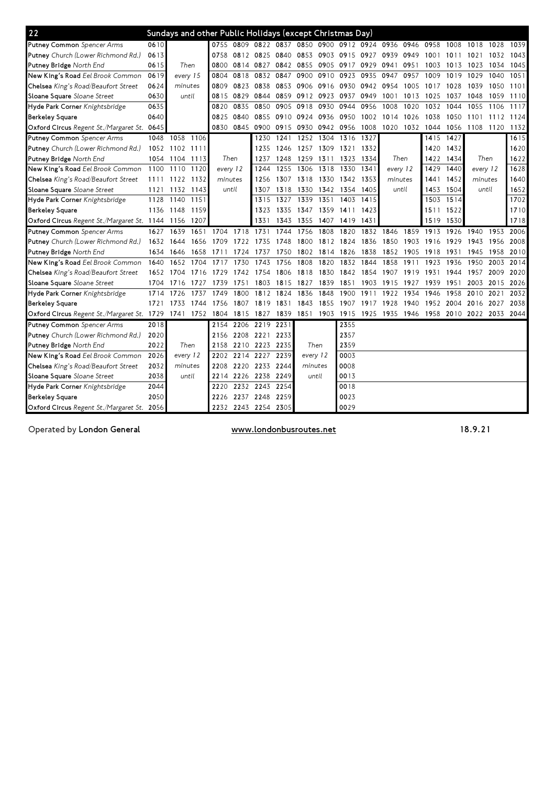| 22                                                   |      | Sundays and other Public Holidays (except Christmas Day) |          |      |                     |                     |           |           |                          |           |                |      |                                                        |      |          |      |           |
|------------------------------------------------------|------|----------------------------------------------------------|----------|------|---------------------|---------------------|-----------|-----------|--------------------------|-----------|----------------|------|--------------------------------------------------------|------|----------|------|-----------|
| <b>Putney Common Spencer Arms</b>                    | 0610 |                                                          |          |      |                     | 0755 0809 0822 0837 |           |           | 0850 0900 0912 0924 0936 |           |                | 0946 | 0958                                                   | 1008 | 1018     | 1028 | 1039      |
| Putney Church (Lower Richmond Rd.)                   | 0613 |                                                          | 0758     |      | 0812 0825           | 0840                | 0853      | 0903      | 0915                     | 0927      | 0939           | 0949 | 1001                                                   | 1011 | 1021     | 1032 | 1043      |
| Putney Bridge North End                              | 0615 | Then                                                     | 0800     |      | 0814 0827           | 0842                | 0855      | 0905      | 0917 0929                |           | 0941           | 0951 | 1003                                                   | 1013 | 1023     | 1034 | 1045      |
| New King's Road Eel Brook Common                     | 0619 | every 15                                                 | 0804     | 0818 | 0832                | 0847                | 0900      | 0910      | 0923                     | 0935      | 0947           | 0957 | 1009                                                   | 1019 | 1029     | 1040 | 1051      |
| Chelsea King's Road/Beaufort Street                  | 0624 | minutes                                                  | 0809     | 0823 | 0838                | 0853                |           | 0906 0916 | 0930                     | 0942 0954 |                | 1005 | 1017                                                   | 1028 | 1039     | 1050 | 1101      |
| Sloane Square Sloane Street                          | 0630 | until                                                    | 0815     | 0829 | 0844                | 0859                |           | 0912 0923 | 0937 0949                |           | 1001           | 1013 | 1025                                                   | 1037 | 1048     | 1059 | 1110      |
| Hyde Park Corner Knightsbridge                       | 0635 |                                                          | 0820     | 0835 | 0850                | 0905                | 0918      | 0930      | 0944                     | 0956      | 1008           | 1020 | 1032                                                   | 1044 | 1055     | 1106 | 1117      |
| <b>Berkeley Square</b>                               | 0640 |                                                          | 0825     | 0840 | 0855                | 0910                | 0924 0936 |           | 0950                     |           | 1002 1014      | 1026 | 1038                                                   | 1050 | 1101     |      | 1112 1124 |
| Oxford Circus Regent St./Margaret St. 0645           |      |                                                          | 0830     | 0845 | 0900                | 0915                |           | 0930 0942 | 0956                     | 1008      | 1020 1032 1044 |      |                                                        | 1056 | 1108     | 1120 | 1132      |
| <b>Putney Common Spencer Arms</b>                    |      | 1048 1058 1106                                           |          |      | 1230                | 1241                |           | 1252 1304 | 1316                     | 1327      |                |      | 1415                                                   | 1427 |          |      | 1615      |
| Putney Church (Lower Richmond Rd.)                   |      | 1052 1102 1111                                           |          |      | 1235                | 1246                | 1257 1309 |           | 1321 1332                |           |                |      | 1420                                                   | 1432 |          |      | 1620      |
| Putney Bridge North End                              | 1054 | 1104 1113                                                | Then     |      | 1237                | 1248                | 1259 1311 |           | 1323                     | 1334      | Then           |      | 1422                                                   | 1434 | Then     |      | 1622      |
| New King's Road Eel Brook Common                     | 1100 | 1110<br>1120                                             | every 12 |      | 1244                | 1255                | 1306      | 1318      | 1330                     | 1341      | every 12       |      | 1429                                                   | 1440 | every 12 |      | 1628      |
| Chelsea King's Road/Beaufort Street                  | 1111 | 1122 1132                                                | minutes  |      | 1256                | 1307                |           | 1318 1330 | 1342 1353                |           | minutes        |      | 1441                                                   | 1452 | minutes  |      | 1640      |
| Sloane Square Sloane Street                          | 1121 | 1132 1143                                                | until    |      | 1307                | 1318                |           | 1330 1342 | 1354 1405                |           | until          |      | 1453                                                   | 1504 | until    |      | 1652      |
| Hyde Park Corner Knightsbridge                       | 1128 | 1140<br>1151                                             |          |      | 1315                | 1327                | 1339      | 1351      | 1403                     | 1415      |                |      | 1503 1514                                              |      |          |      | 1702      |
| <b>Berkeley Square</b>                               | 1136 | 1148 1159                                                |          |      | 1323                | 1335                |           | 1347 1359 | 1411 1423                |           |                |      | 1511 1522                                              |      |          |      | 1710      |
| Oxford Circus Regent St./Margaret St. 1144 1156 1207 |      |                                                          |          |      | 1331                | 1343                | 1355      | 1407      | 1419 1431                |           |                |      | 1519                                                   | 1530 |          |      | 1718      |
| <b>Putney Common</b> Spencer Arms                    | 1627 | 1651<br>1639                                             | 1704     | 1718 | 1731                | 1744                | 1756      | 1808      | 1820                     |           | 1832 1846      | 1859 | 1913                                                   | 1926 | 1940     |      | 1953 2006 |
| Putney Church (Lower Richmond Rd.)                   | 1632 | 1644<br>1656                                             | 1709     | 1722 | 1735                | 1748                | 1800      | 1812      | 1824                     | 1836      | 1850           | 1903 | 1916                                                   | 1929 | 1943     | 1956 | 2008      |
| Putney Bridge North End                              | 1634 | 1658<br>1646                                             | 1711     | 1724 | 1737                | 1750                |           | 1802 1814 | 1826                     | 1838      | 1852           | 1905 | 1918                                                   | 1931 | 1945     | 1958 | 2010      |
| New King's Road Eel Brook Common                     | 1640 | 1652<br>1704                                             | 1717     | 1730 | 1743                | 1756                | 1808      | 1820      | 1832                     | 1844      | 1858           | 1911 | 1923                                                   | 1936 | 1950     | 2003 | 2014      |
| Chelsea King's Road/Beaufort Street                  | 1652 | 1704<br>1716                                             | 1729     | 1742 | 1754                | 1806                | 1818      | 1830      | 1842                     | 1854      | 1907           | 1919 | 1931                                                   | 1944 | 1957     | 2009 | 2020      |
| Sloane Square Sloane Street                          | 1704 | 1716<br>1727                                             | 1739     | 1751 | 1803                | 1815                | 1827      | 1839      | 1851                     | 1903      | 1915           | 1927 | 1939                                                   | 1951 | 2003     | 2015 | 2026      |
| Hyde Park Corner Knightsbridge                       | 1714 | 1726<br>1737                                             | 1749     | 1800 | 1812                | 1824                | 1836      | 1848      | 1900                     | 1911      | 1922           | 1934 | 1946                                                   | 1958 | 2010     | 2021 | 2032      |
| <b>Berkeley Square</b>                               | 1721 | 1733<br>1744                                             | 1756     | 1807 | 1819                | 1831                | 1843      | 1855      | 1907                     | 1917      | 1928           | 1940 | 1952                                                   | 2004 | 2016     | 2027 | 2038      |
| Oxford Circus Regent St./Margaret St. 1729           |      | 1741 1752 1804                                           |          | 1815 | 1827                | 1839                |           |           |                          |           |                |      | 1851 1903 1915 1925 1935 1946 1958 2010 2022 2033 2044 |      |          |      |           |
| <b>Putney Common</b> Spencer Arms                    | 2018 |                                                          | 2154     | 2206 | 2219                | 2231                |           |           | 2355                     |           |                |      |                                                        |      |          |      |           |
| Putney Church (Lower Richmond Rd.)                   | 2020 |                                                          | 2156     |      | 2208 2221           | 2233                |           |           | 2357                     |           |                |      |                                                        |      |          |      |           |
| Putney Bridge North End                              | 2022 | Then                                                     | 2158     |      | 2210 2223           | 2235                | Then      |           | 2359                     |           |                |      |                                                        |      |          |      |           |
| New King's Road Eel Brook Common                     | 2026 | every 12                                                 | 2202     |      | 2214 2227           | 2239                | every 12  |           | 0003                     |           |                |      |                                                        |      |          |      |           |
| Chelsea King's Road/Beaufort Street                  | 2032 | minutes                                                  | 2208     |      | 2220 2233           | 2244                | minutes   |           | 0008                     |           |                |      |                                                        |      |          |      |           |
| Sloane Square Sloane Street                          | 2038 | until                                                    | 2214     |      | 2226 2238           | 2249                |           | until     | 0013                     |           |                |      |                                                        |      |          |      |           |
| Hyde Park Corner Knightsbridge                       | 2044 |                                                          | 2220     |      | 2232 2243           | 2254                |           |           | 0018                     |           |                |      |                                                        |      |          |      |           |
| <b>Berkeley Square</b>                               | 2050 |                                                          | 2226     |      | 2237 2248           | 2259                |           |           | 0023                     |           |                |      |                                                        |      |          |      |           |
| Oxford Circus Regent St./Margaret St. 2056           |      |                                                          |          |      | 2232 2243 2254 2305 |                     |           |           | 0029                     |           |                |      |                                                        |      |          |      |           |

Operated by London General **Exercise Structure** www.londonbusroutes.net **18.9.21**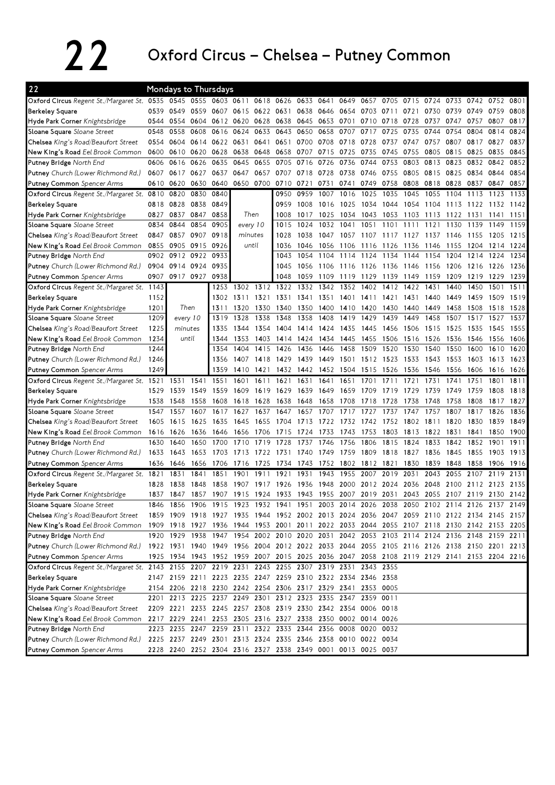## 22 Oxford Circus – Chelsea – Putney Common

| 22                                                                                                |      | <b>Mondays to Thursdays</b>                                                                                                |           |           |           |           |           |           |           |                |           |                 |               |      |      |                               |      |      |
|---------------------------------------------------------------------------------------------------|------|----------------------------------------------------------------------------------------------------------------------------|-----------|-----------|-----------|-----------|-----------|-----------|-----------|----------------|-----------|-----------------|---------------|------|------|-------------------------------|------|------|
| Oxford Circus Regent St./Margaret St. 0535                                                        |      |                                                                                                                            | 0545 0555 |           | 0603 0611 |           | 0618 0626 |           | 0633 0641 | 0649           | 0657      | 0705            | 0715          | 0724 | 0733 | 0742                          | 0752 | 0801 |
| <b>Berkeley Square</b>                                                                            | 0539 | 0549                                                                                                                       | 0559      | 0607      |           | 0615 0622 | 0631      | 0638 0646 |           | 0654           | 0703      | 0711            | 0721          | 0730 | 0739 | 0749                          | 0759 | 0808 |
| Hyde Park Corner Knightsbridge                                                                    | 0544 | 0554                                                                                                                       | 0604      | 0612      | 0620      | 0628      | 0638      | 0645 0653 |           | 0701           | 0710      | 0718            | 0728          | 0737 | 0747 | 0757                          | 0807 | 0817 |
| Sloane Square Sloane Street                                                                       | 0548 | 0558                                                                                                                       | 0608      | 0616      | 0624      | 0633      | 0643      | 0650      | 0658      | 0707           | 0717      | 0725            | 0735          | 0744 | 0754 | 0804                          | 0814 | 0824 |
| Chelsea King's Road/Beaufort Street                                                               | 0554 | 0604                                                                                                                       | 0614      | 0622 0631 |           | 0641      | 0651      | 0700 0708 |           | 0718           | 0728      | 0737            | 0747          | 0757 | 0807 | 0817                          | 0827 | 0837 |
| New King's Road Eel Brook Common                                                                  | 0600 | 0610                                                                                                                       | 0620      | 0628      | 0638      | 0648      | 0658      | 0707      | 0715      | 0725           | 0735      | 0745            | 0755          | 0805 | 0815 | 0825                          | 0835 | 0845 |
| Putney Bridge North End                                                                           | 0606 | 0616                                                                                                                       | 0626      | 0635      | 0645      | 0655      | 0705      | 0716      | 0726      | 0736           | 0744      | 0753            | 0803          | 0813 | 0823 | 0832                          | 0842 | 0852 |
| <b>Putney</b> Church (Lower Richmond Rd.)                                                         | 0607 | 0617                                                                                                                       | 0627      | 0637      | 0647      | 0657      | 0707      | 0718      | 0728      | 0738           | 0746      | 0755            | 0805          | 0815 | 0825 | 0834                          | 0844 | 0854 |
| <b>Putney Common</b> Spencer Arms                                                                 | 0610 | 0620                                                                                                                       | 0630      | 0640      |           | 0650 0700 | 0710      | 0721      | 0731      | 0741           | 0749      | 0758            | 0808          | 0818 | 0828 | 0837                          | 0847 | 0857 |
| Oxford Circus Regent St./Margaret St. 0810                                                        |      | 0820                                                                                                                       | 0830      | 0840      |           |           | 0950      | 0959      | 1007      | 1016           | 1025      | 1035            | 1045          | 1055 | 1104 | 1113                          | 1123 | 1133 |
| <b>Berkeley Square</b>                                                                            | 0818 | 0828                                                                                                                       | 0838      | 0849      |           |           | 0959      | 1008      | 1016      | 1025           | 1034      | 1044            | 1054          | 1104 | 1113 | 1122                          | 1132 | 1142 |
| Hyde Park Corner Knightsbridge                                                                    | 0827 | 0837                                                                                                                       | 0847      | 0858      |           | Then      | 1008      | 1017      | 1025      | 1034           | 1043      | 1053            | 1103          | 1113 | 1122 | 1131                          | 1141 | 1151 |
| Sloane Square Sloane Street                                                                       | 0834 | 0844                                                                                                                       | 0854      | 0905      |           | every 10  | 1015      | 1024      | 1032      | 1041           | 1051      | 1101            | 1111          | 1121 | 1130 | 1139                          | 1149 | 1159 |
| Chelsea King's Road/Beaufort Street                                                               | 0847 | 0857                                                                                                                       | 0907      | 0918      |           | minutes   | 1028      | 1038      | 1047      | 1057           | 1107      | 1117            | 1127          | 1137 | 1146 | 1155                          | 1205 | 1215 |
| New King's Road Eel Brook Common                                                                  | 0855 | 0905                                                                                                                       | 0915      | 0926      |           | until     | 1036      | 1046      | 1056      | 1106           | 1116      | 1126            | 1136          | 1146 | 1155 | 1204                          | 1214 | 1224 |
| Putney Bridge North End                                                                           | 0902 | 0912                                                                                                                       | 0922      | 0933      |           |           | 1043      | 1054      | 1104      | 1114           | 1124      | 1134            | 1144          | 1154 | 1204 | 1214                          | 1224 | 1234 |
| <b>Putney</b> Church (Lower Richmond Rd.)                                                         | 0904 |                                                                                                                            | 0914 0924 | 0935      |           |           | 1045      | 1056      | 1106      | 1116           | 1126      | 1136            | 1146          | 1156 | 1206 | 1216                          | 1226 | 1236 |
| <b>Putney Common</b> Spencer Arms                                                                 | 0907 | 0917 0927                                                                                                                  |           | 0938      |           |           | 1048      | 1059      | 1109      | 1119           | 1129      | 1139            | 1149          | 1159 | 1209 | 1219                          | 1229 | 1239 |
| Oxford Circus Regent St./Margaret St.                                                             | 1143 |                                                                                                                            |           | 1253      | 1302      | 1312      | 1322      | 1332      | 1342      | 1352           | 1402      | 1412            | 1422          | 1431 | 1440 | 1450                          | 1501 | 1511 |
| <b>Berkeley Square</b>                                                                            | 1152 |                                                                                                                            |           | 1302      | 1311      | 1321      | 1331      | 1341      | 1351      | 1401           | 1411      | 1421            | 1431          | 1440 | 1449 | 1459                          | 1509 | 1519 |
| Hyde Park Corner Knightsbridge                                                                    | 1201 |                                                                                                                            | Then      | 1311      | 1320      | 1330      | 1340      | 1350      | 1400      | 1410           | 1420      | 1430            | 1440          | 1449 | 1458 | 1508                          | 1518 | 1528 |
| Sloane Square Sloane Street                                                                       | 1209 | every 10                                                                                                                   |           | 1319      | 1328      | 1338      | 1348      | 1358      | 1408      | 1419           | 1429      | 1439            | 1449          | 1458 | 1507 | 1517                          | 1527 | 1537 |
| Chelsea King's Road/Beaufort Street                                                               | 1225 | minutes                                                                                                                    |           | 1335      | 1344      | 1354      | 1404      | 1414      | 1424      | 1435           | 1445      | 1456            | 1506          | 1515 | 1525 | 1535                          | 1545 | 1555 |
| New King's Road Eel Brook Common                                                                  | 1234 |                                                                                                                            | until     | 1344      | 1353      | 1403      | 1414      | 1424      | 1434      | 1445           | 1455      | 1506            | 1516          | 1526 | 1536 | 1546                          | 1556 | 1606 |
| Putney Bridge North End                                                                           | 1244 |                                                                                                                            |           | 1354      | 1404      | 1415      | 1426      | 1436      | 1446      | 1458           | 1509      | 1520            | 1530          | 1540 | 1550 | 1600                          | 1610 | 1620 |
| Putney Church (Lower Richmond Rd.)                                                                | 1246 |                                                                                                                            |           | 1356      | 1407      | 1418      | 1429      | 1439      | 1449      | 1501           | 1512 1523 |                 | 1533          | 1543 | 1553 | 1603                          | 1613 | 1623 |
|                                                                                                   |      |                                                                                                                            |           |           |           |           |           |           |           | 1504           | 1515      |                 |               |      |      |                               | 1616 | 1626 |
| <b>Putney Common</b> Spencer Arms                                                                 | 1249 |                                                                                                                            |           | 1359      | 1410      | 1421      | 1432      | 1442      | 1452      |                |           | 1526            | -1536         | 1546 | 1556 | 1606                          |      |      |
| Oxford Circus Regent St./Margaret St. 1521                                                        |      | 1531                                                                                                                       | 1541      | 1551      | 1601      | 1611      | 1621      | 1631      | 1641      | 1651           | 170       | 17 <sup>1</sup> | $172^{\circ}$ | 1731 | 1741 | 1751                          | 1801 | 1811 |
| <b>Berkeley Square</b>                                                                            | 1529 | 1539                                                                                                                       | 1549      | 1559      | 1609      | 1619      | 1629      | 1639      | 1649      | 1659           |           | 19              |               | 1739 | 1749 | 1759                          | 1808 | 1818 |
| Hyde Park Corner Knightsbridge                                                                    | 1538 | 1548                                                                                                                       | 1558      | 1608      | 1618      | 1628      | 1638      | 1648      | 1658      | 1708           | 1718      | 1728            | 1738          | 1748 | 1758 | 1808                          | 1817 | 1827 |
| Sloane Square Sloane Street                                                                       | 1547 | 1557                                                                                                                       | 1607      | 1617      | 1627      | 1637      | 1647      | 1657      | 1707      | 1717           | 1727      | 1737            | 1747          | 1757 | 1807 | 1817                          | 1826 | 1836 |
| Chelsea King's Road/Beaufort Street                                                               | 1605 | 1615                                                                                                                       | 1625      | 1635      | 1645      | 1655      | 1704      | 1713      | 1722      | 1732           | 1742      | 1752            | 1802          | 1811 | 1820 | 1830                          | 1839 | 1849 |
| New King's Road Eel Brook Common                                                                  | 1616 | 1626                                                                                                                       | 1636      | 1646      | 1656      | 1706      | 1715      | 1724      | 1733      | 1743           | 1753      | 1803            | 1813          | 1822 | 1831 | 1841                          | 1850 | 1900 |
| Putney Bridge North End                                                                           | 1630 | 1640                                                                                                                       | 1650      | 1700      | 1710      | 1719      | 1728      | 1737      | 1746      | 1756           | 1806      | 1815            | 1824          | 1833 | 1842 | 1852                          | 1901 | 1911 |
| Putney Church (Lower Richmond Rd.)                                                                | 1633 | 1643                                                                                                                       | 1653      | 1703      | 1713      | 1722      | 1731      | 1740      | 1749      | 1759           | 1809      | 1818            | 1827          | 1836 | 1845 | 1855                          | 1903 | 1913 |
| <b>Putney Common</b> Spencer Arms                                                                 | 1636 | 1646                                                                                                                       | 1656      | 1706      | 1716      | 1725      | 1734      | 1743      | 1752      | 1802           | 1812      | 1821            | 1830          | 1839 | 1848 | 1858                          | 1906 | 1916 |
| Oxford Circus Regent St./Margaret St. 1821                                                        |      | 1831                                                                                                                       | 1841      | 1851      | 1901      | 1911      | 1921      | 1931      | 1943      | 1955           | 2007      | 2019            | 2031          | 2043 | 2055 | 2107                          | 2119 | 2131 |
| <b>Berkeley Square</b>                                                                            | 1828 | 1838                                                                                                                       | 1848      | 1858      | 1907      | 19        | 19<br>26  | 1936      | 1948      | 2000           | 2012      | 2024            | 2036          | 2048 | 2100 | 211                           | 2123 | 2135 |
| Hyde Park Corner Knightsbridge                                                                    | 1837 | 1847                                                                                                                       | 1857      | 1907      | 1915 1924 |           | 1933      | 1943 1955 |           | 2007 2019 2031 |           |                 |               |      |      | 2043 2055 2107 2119 2130 2142 |      |      |
| Sloane Square Sloane Street                                                                       |      | 1846 1856 1906 1915 1923 1932 1941 1951 2003 2014 2026 2038 2050 2102 2114 2126 2137 2149                                  |           |           |           |           |           |           |           |                |           |                 |               |      |      |                               |      |      |
| Chelsea King's Road/Beaufort Street                                                               |      | 1859 1909 1918 1927 1935 1944 1952 2002 2013 2024 2036 2047 2059 2110 2122 2134 2145 2157                                  |           |           |           |           |           |           |           |                |           |                 |               |      |      |                               |      |      |
| New King's Road Eel Brook Common                                                                  |      | 1909 1918 1927 1936 1944 1953 2001 2011 2022 2033 2044 2055 2107 2118 2130 2142 2153 2205                                  |           |           |           |           |           |           |           |                |           |                 |               |      |      |                               |      |      |
| Putney Bridge North End                                                                           |      | 1920 1929 1938 1947 1954 2002 2010 2020 2031 2042 2053 2103 2114 2124 2136 2148 2159 2211                                  |           |           |           |           |           |           |           |                |           |                 |               |      |      |                               |      |      |
| <b>Putney</b> Church (Lower Richmond Rd.)                                                         |      | 1922 1931 1940 1949 1956 2004 2012 2022 2033 2044 2055 2105 2116 2126 2138 2150 2201 2213                                  |           |           |           |           |           |           |           |                |           |                 |               |      |      |                               |      |      |
| <b>Putney Common</b> Spencer Arms                                                                 |      | 1925 1934 1943 1952 1959 2007 2015 2025 2036 2047 2058 2108 2119 2129 2141 2153 2204 2216                                  |           |           |           |           |           |           |           |                |           |                 |               |      |      |                               |      |      |
| Oxford Circus Regent St./Margaret St. 2143 2155 2207 2219 2231 2243 2255 2307 2319 2331 2343 2355 |      |                                                                                                                            |           |           |           |           |           |           |           |                |           |                 |               |      |      |                               |      |      |
| <b>Berkeley Square</b>                                                                            |      | 2147 2159 2211 2223 2235 2247 2259 2310 2322 2334 2346 2358                                                                |           |           |           |           |           |           |           |                |           |                 |               |      |      |                               |      |      |
| Hyde Park Corner Knightsbridge                                                                    |      | 2154 2206 2218 2230 2242 2254 2306 2317 2329 2341 2353 0005                                                                |           |           |           |           |           |           |           |                |           |                 |               |      |      |                               |      |      |
| Sloane Square Sloane Street                                                                       |      | 2201 2213 2225 2237 2249 2301 2312 2323 2335 2347 2359 0011                                                                |           |           |           |           |           |           |           |                |           |                 |               |      |      |                               |      |      |
| Chelsea King's Road/Beaufort Street                                                               |      | 2209 2221 2233 2245 2257 2308 2319 2330 2342 2354 0006 0018                                                                |           |           |           |           |           |           |           |                |           |                 |               |      |      |                               |      |      |
| New King's Road Eel Brook Common                                                                  |      | 2217 2229 2241 2253 2305 2316 2327 2338 2350 0002 0014 0026                                                                |           |           |           |           |           |           |           |                |           |                 |               |      |      |                               |      |      |
| Putney Bridge North End                                                                           |      | 2223 2235 2247 2259 2311 2322 2333 2344 2356 0008 0020 0032                                                                |           |           |           |           |           |           |           |                |           |                 |               |      |      |                               |      |      |
| Putney Church (Lower Richmond Rd.)<br><b>Putney Common</b> Spencer Arms                           |      | 2225 2237 2249 2301 2313 2324 2335 2346 2358 0010 0022 0034<br>2228 2240 2252 2304 2316 2327 2338 2349 0001 0013 0025 0037 |           |           |           |           |           |           |           |                |           |                 |               |      |      |                               |      |      |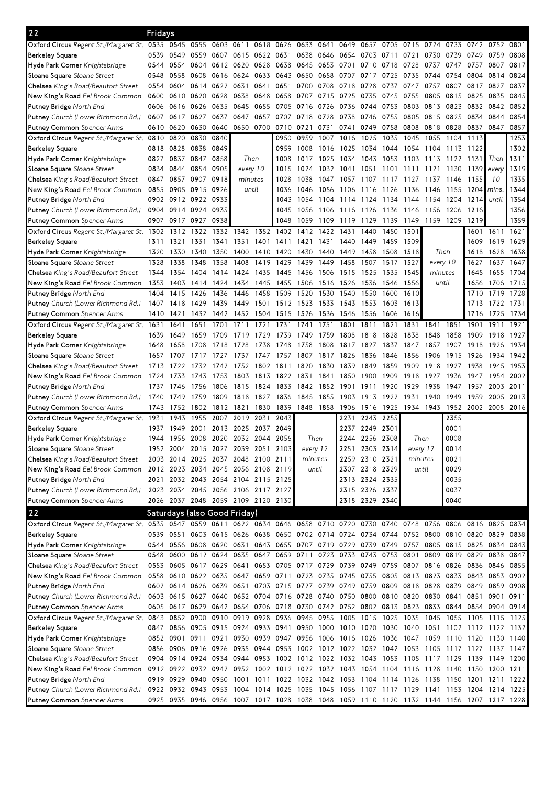| 22                                                                                                                              | Fridays |           |                     |                                    |          |           |           |           |           |      |                               |           |                                                                                      |           |           |       |                                                                                           |           |
|---------------------------------------------------------------------------------------------------------------------------------|---------|-----------|---------------------|------------------------------------|----------|-----------|-----------|-----------|-----------|------|-------------------------------|-----------|--------------------------------------------------------------------------------------|-----------|-----------|-------|-------------------------------------------------------------------------------------------|-----------|
| Oxford Circus Regent St./Margaret St. 0535                                                                                      |         | 0545      | 0555                | 0603                               | 0611     |           | 0618 0626 | 0633 0641 |           | 0649 | 0657                          | 0705      | 0715                                                                                 | 0724      | 0733      | 0742  | 0752                                                                                      | 0801      |
| <b>Berkeley Square</b>                                                                                                          | 0539    | 0549      | 0559 0607           |                                    | 0615     | 0622 0631 |           |           | 0638 0646 | 0654 | 0703                          | 0711      | 0721                                                                                 | 0730      | 0739      | 0749  | 0759                                                                                      | 0808      |
| Hyde Park Corner Knightsbridge                                                                                                  | 0544    | 0554      |                     | 0604 0612 0620                     |          | 0628 0638 |           | 0645      | 0653      | 0701 | 0710                          | 0718      | 0728                                                                                 | 0737      | 0747      | 0757  | 0807                                                                                      | 0817      |
| Sloane Square Sloane Street                                                                                                     | 0548    | 0558      | 0608                | 0616                               | 0624     | 0633      | 0643      | 0650      | 0658      | 0707 | 0717                          | 0725      | 0735                                                                                 | 0744      | 0754      | 0804  | 0814                                                                                      | 0824      |
| Chelsea King's Road/Beaufort Street                                                                                             | 0554    | 0604      |                     | 0614 0622                          | 0631     | 0641      | 0651      | 0700      | 0708      | 0718 | 0728                          | 0737      | 0747                                                                                 | 0757      | 0807      | 0817  | 0827                                                                                      | 0837      |
| New King's Road Eel Brook Common                                                                                                | 0600    | 0610      | 0620                | 0628                               | 0638     | 0648      | 0658      | 0707      | 0715      | 0725 | 0735                          | 0745      | 0755                                                                                 | 0805      | 0815      | 0825  | 0835                                                                                      | 0845      |
| Putney Bridge North End                                                                                                         | 0606    | 0616      | 0626                | 0635                               | 0645     | 0655      | 0705      | 0716      | 0726      | 0736 | 0744                          | 0753      | 0803                                                                                 | 0813      | 0823      | 0832  | 0842                                                                                      | 0852      |
| Putney Church (Lower Richmond Rd.)                                                                                              | 0607    | 0617      | 0627                | 0637                               | 0647     | 0657      | 0707      | 0718      | 0728      | 0738 | 0746                          | 0755      | 0805                                                                                 | 0815      | 0825      | 0834  | 0844                                                                                      | 0854      |
| <b>Putney Common</b> Spencer Arms                                                                                               | 0610    | 0620      | 0630                | 0640                               | 0650     | 0700      | 0710      | 0721      | 0731      | 0741 | 0749                          | 0758      | 0808                                                                                 | 0818      | 0828      | 0837  | 0847                                                                                      | 0857      |
| Oxford Circus Regent St./Margaret St. 0810                                                                                      |         | 0820      | 0830                | 0840                               |          |           | 0950      | 0959      | 1007      | 1016 | 1025                          | 1035      | 1045                                                                                 | 1055      | 1104      | 1113  |                                                                                           | 1253      |
| <b>Berkeley Square</b>                                                                                                          | 0818    | 0828      | 0838 0849           |                                    |          |           | 0959      | 1008      | 1016      | 1025 | 1034                          | 1044      | 1054                                                                                 | 1104      | 1113      | 1122  |                                                                                           | 1302      |
| Hyde Park Corner Knightsbridge                                                                                                  | 0827    | 0837      | 0847                | 0858                               |          | Then      | 1008      | 1017      | 1025      | 1034 | 1043                          | 1053      | 1103                                                                                 | 1113      | 1122      | 1131  | Then                                                                                      | 1311      |
| Sloane Square Sloane Street                                                                                                     | 0834    | 0844      | 0854                | 0905                               | every 10 |           | 1015      | 1024      | 1032      | 1041 | 1051                          | 1101      | 1111                                                                                 | 1121      | 1130      | 1139  | every                                                                                     | 1319      |
| Chelsea King's Road/Beaufort Street                                                                                             | 0847    | 0857      | 0907                | 0918                               | minutes  |           | 1028      | 1038      | 1047      | 1057 | 1107                          | 1117      | 1127                                                                                 | 1137      | 1146      | 1155  | 10                                                                                        | 1335      |
| New King's Road Eel Brook Common                                                                                                | 0855    | 0905      | 0915                | 0926                               | until    |           | 1036      | 1046      | 1056      | 1106 | 1116                          | 1126      | 1136                                                                                 | 1146      | 1155      | 12041 | mins                                                                                      | 1344      |
| Putney Bridge North End                                                                                                         | 0902    | 0912      | 0922                | 0933                               |          |           | 1043      | 1054      | 1104      | 1114 | 1124                          | 1134      | 1144                                                                                 | 1154      | 1204      | 1214  | until                                                                                     | 1354      |
| Putney Church (Lower Richmond Rd.)                                                                                              | 0904    |           | 0914 0924 0935      |                                    |          |           | 1045      | 1056      | 1106      | 1116 | 1126 1136 1146                |           |                                                                                      | 1156      | 1206      | 1216  |                                                                                           | 1356      |
| <b>Putney Common</b> Spencer Arms                                                                                               | 0907    | 0917      | 0927                | 0938                               |          |           | 1048      | 1059      | 1109      | 1119 | 1129                          | 1139 1149 |                                                                                      | 1159 1209 |           | 1219  |                                                                                           | 1359      |
| Oxford Circus Regent St./Margaret St. 1302                                                                                      |         | 1312      | 1322                | 1332                               | 1342     | 1352      | 1402      | 1412      | 1422      | 1431 | 1440                          | 1450      | 1501                                                                                 |           |           | 1601  | 1611 1621                                                                                 |           |
| <b>Berkeley Square</b>                                                                                                          | 1311    | 1321      | 1331                | 1341                               | 1351     | 1401      | 1411      | 1421      | 1431      | 1440 | 1449                          | 1459      | 1509                                                                                 |           |           | 1609  | 1619                                                                                      | 1629      |
| Hyde Park Corner Knightsbridge                                                                                                  | 1320    | 1330      | 1340                | 1350                               | 1400     | 1410      | 1420      | 1430      | 1440      | 1449 | 1458                          | 1508      | 1518                                                                                 |           | Then      | 1618  | 1628                                                                                      | 1638      |
| Sloane Square Sloane Street                                                                                                     | 1328    | 1338      | 1348                | 1358                               | 1408     | 1419      | 1429      | 1439      | 1449      | 1458 | 1507                          | 1517      | 1527                                                                                 | every 10  |           | 1627  | 1637                                                                                      | 1647      |
| Chelsea King's Road/Beaufort Street                                                                                             | 1344    | 1354      | 1404                | 1414                               | 1424     | 1435      | 1445      | 1456      | 1506      | 1515 | 1525                          | 1535      | 1545                                                                                 | minutes   |           | 1645  | 1655                                                                                      | 1704      |
| New King's Road Eel Brook Common                                                                                                | 1353    | 1403      | 1414                | 1424                               | 1434     | 1445      | 1455      | 1506      | 1516      | 1526 | 1536                          | 1546      | 1556                                                                                 |           | until     | 1656  |                                                                                           | 1706 1715 |
| Putney Bridge North End                                                                                                         | 1404    | 1415      | 1426                | 1436                               | 1446     | 1458      | 1509      | 1520      | 1530      | 1540 | 1550                          | 1600      | 1610                                                                                 |           |           | 1710  | 1719                                                                                      | 1728      |
| Putney Church (Lower Richmond Rd.)                                                                                              | 1407    | 1418      | 1429                | 1439                               | 1449     | 1501      | 1512      | 1523      | 1533      | 1543 | 1553                          | 1603      | 1613                                                                                 |           |           | 1713  | 1722 1731                                                                                 |           |
| Putney Common Spencer Arms                                                                                                      | 1410    | 1421      | 1432                | 1442                               | 1452     | 1504      | 1515      | 1526      | -1536     | 1546 | 1556                          | 1606      | 1616                                                                                 |           |           | 1716  | 1725                                                                                      | 1734      |
| Oxford Circus Regent St./Margaret St. 1631                                                                                      |         | 1641      | 1651                | 1701                               | 1711     | 1721      | 1731      | 1741      | 1751      | 1801 | 1811                          | 1821      | 1831                                                                                 | 1841      | 1851      | 1901  | 1911                                                                                      | 1921      |
| <b>Berkeley Square</b>                                                                                                          | 1639    | 1649      | 1659                | 1709                               | 1719     | 1729      | 1739      | 1749      | 1759      | 1808 | 1818                          | 1828      | 1838                                                                                 | 1848      | 1858      | 1909  | 1918                                                                                      | 1927      |
| Hyde Park Corner Knightsbridge                                                                                                  | 1648    | 1658      | 1708                | 1718                               | 1728     | 1738      | 1748      | 1758      | 1808      | 1817 | 1827                          | 1837      | 1847                                                                                 | 1857      | 1907      | 1918  | 1926                                                                                      | 1934      |
| Sloane Square Sloane Street                                                                                                     | 1657    | 1707      | 1717                | 1727                               | 1737     | 1747      | 1757      | 1807      | 1817      | 1826 | 1836                          | 1846      | 1856                                                                                 | 1906      | 1915      | 1926  | 1934                                                                                      | 1942      |
| Chelsea King's Road/Beaufort Street                                                                                             | 1713    | 1722      | 1732                | 1742                               |          | 1752 1802 | 1811      | 1820      | 1830      | 1839 | 1849                          | 1859      | 1909                                                                                 | 1918      | 1927      | 1938  | 1945                                                                                      | 1953      |
| New King's Road Eel Brook Common                                                                                                | 1724    | 1733      | 1743                | 1753                               | 1803     | 1813      | 1822      | 1831      | 1841      | 1850 | 1900                          | 1909      | 1918                                                                                 | 1927      | 1936      | 1947  | 1954                                                                                      | 2002      |
| Putney Bridge North End                                                                                                         | 1737    | 1746      | 1756                | 1806                               | 1815     | 1824      | 1833      | 1842      | 1852      | 1901 | 1911                          | 1920      | 19<br>29                                                                             | 1938      | 1947      | 1957  | 2003                                                                                      | 2011      |
| <b>Putney</b> Church (Lower Richmond Rd.)                                                                                       | 1740    | 1749      | 1759                | 1809                               | 1818     | 1827      | 1836      | 1845      | 1855      | 1903 | 1913                          | 1922      | 1931                                                                                 | 1940      | 1949      | 1959  | 2005                                                                                      | 2013      |
| Putney Common Spencer Arms                                                                                                      | 1743    | 1752      | 1802                | 1812                               | 1821     | 1830      | 1839      | 1848      | 1858      | 1906 | 1916                          | 1925      | 1934                                                                                 | 1943      | 1952      | 2002  | 2008                                                                                      | 2016      |
| Oxford Circus Regent St./Margaret St. 1931                                                                                      |         | 1943      | 1955                | 2007                               | 2019     | 2031      | 2043      |           |           | 2231 | 2243                          | 2255      |                                                                                      |           | 2355      |       |                                                                                           |           |
| <b>Berkeley Square</b>                                                                                                          | 1937    | 1949      | 2001                | 2013                               | 2025     | 2037      | 2049      |           |           | 2237 | 2249 2301                     |           |                                                                                      |           | 0001      |       |                                                                                           |           |
| Hyde Park Corner Knightsbridge                                                                                                  | 1944    |           |                     | 1956 2008 2020 2032 2044 2056      |          |           |           | Then      |           |      | 2244 2256 2308                |           | Then                                                                                 |           | 0008      |       |                                                                                           |           |
| <b>Sloane Square</b> Sloane Street                                                                                              | 1952    |           |                     | 2004 2015 2027 2039 2051 2103      |          |           |           | every 12  |           |      | 2251 2303 2314                |           | every 12                                                                             |           | 0014      |       |                                                                                           |           |
| Chelsea King's Road/Beaufort Street                                                                                             |         |           |                     | 2003 2014 2025 2037 2048 2100 2111 |          |           |           | minutes   |           |      | 2259 2310 2321                |           | minutes                                                                              |           | 0021      |       |                                                                                           |           |
| New King's Road Eel Brook Common                                                                                                |         |           |                     | 2012 2023 2034 2045 2056 2108 2119 |          |           |           |           | until     |      | 2307 2318 2329                |           |                                                                                      | until     | 0029      |       |                                                                                           |           |
| Putney Bridge North End                                                                                                         |         | 2021 2032 |                     | 2043 2054 2104 2115 2125           |          |           |           |           |           |      | 2313 2324 2335                |           |                                                                                      |           | 0035      |       |                                                                                           |           |
| Putney Church (Lower Richmond Rd.)                                                                                              |         |           |                     | 2023 2034 2045 2056 2106 2117 2127 |          |           |           |           |           |      | 2315 2326 2337                |           |                                                                                      |           | 0037      |       |                                                                                           |           |
| <b>Putney Common</b> Spencer Arms                                                                                               |         |           |                     | 2026 2037 2048 2059 2109 2120 2130 |          |           |           |           |           |      | 2318 2329 2340                |           |                                                                                      |           | 0040      |       |                                                                                           |           |
| 22                                                                                                                              |         |           |                     | Saturdays (also Good Friday)       |          |           |           |           |           |      |                               |           |                                                                                      |           |           |       |                                                                                           |           |
| Oxford Circus Regent St./Margaret St. 0535 0547 0559 0611 0622 0634 0646 0658 0710 0720 0730 0740 0748 0756 0806 0816 0825 0834 |         |           |                     |                                    |          |           |           |           |           |      |                               |           |                                                                                      |           |           |       |                                                                                           |           |
| <b>Berkeley Square</b>                                                                                                          |         |           |                     |                                    |          |           |           |           |           |      |                               |           |                                                                                      |           |           |       | 0539 0551 0603 0615 0626 0638 0650 0702 0714 0724 0734 0744 0752 0800 0810 0820 0829 0838 |           |
| Hyde Park Corner Knightsbridge                                                                                                  |         |           |                     |                                    |          |           |           |           |           |      |                               |           |                                                                                      |           |           |       | 0544 0556 0608 0620 0631 0643 0655 0707 0719 0729 0739 0749 0757 0805 0815 0825 0834      | 0843      |
| Sloane Square Sloane Street                                                                                                     | 0548    | 0600      | 0612 0624           |                                    |          |           |           |           |           |      |                               |           | 0635 0647 0659 0711 0723 0733 0743 0753 0801 0809 0819 0829                          |           |           |       | 0838                                                                                      | 0847      |
| Chelsea King's Road/Beaufort Street                                                                                             |         |           |                     |                                    |          |           |           |           |           |      |                               |           | 0553 0605 0617 0629 0641 0653 0705 0717 0729 0739 0749 0759 0807 0816 0826 0836 0846 |           |           |       |                                                                                           | 0855      |
| New King's Road Eel Brook Common                                                                                                |         |           |                     |                                    |          |           |           |           |           |      |                               |           | 0558 0610 0622 0635 0647 0659 0711 0723 0735 0745 0755 0805 0813 0823 0833 0843 0853 |           |           |       |                                                                                           | 0902      |
| Putney Bridge North End                                                                                                         |         |           |                     |                                    |          |           |           |           |           |      |                               |           | 0602 0614 0626 0639 0651 0703 0715 0727 0739 0749 0759 0809 0818 0828                |           | 0839 0849 |       | 0859                                                                                      | 0908      |
| Putney Church (Lower Richmond Rd.)                                                                                              |         |           |                     |                                    |          |           |           |           |           |      |                               |           | 0603 0615 0627 0640 0652 0704 0716 0728 0740 0750 0800 0810 0820 0830 0841 0851      |           |           |       | 0901                                                                                      | 0911      |
| Putney Common Spencer Arms                                                                                                      |         |           |                     |                                    |          |           |           |           |           |      |                               |           |                                                                                      |           |           |       | 0605 0617 0629 0642 0654 0706 0718 0730 0742 0752 0802 0813 0823 0833 0844 0854 0904 0914 |           |
| Oxford Circus Regent St./Margaret St. 0843 0852 0900 0910 0919 0928 0936                                                        |         |           |                     |                                    |          |           |           |           |           |      | 0945 0955 1005 1015 1025 1035 |           |                                                                                      | 1045      |           |       | 1055 1105 1115 1125                                                                       |           |
| <b>Berkeley Square</b>                                                                                                          |         |           |                     |                                    |          |           |           |           |           |      |                               |           |                                                                                      |           |           |       | 0847 0856 0905 0915 0924 0933 0941 0950 1000 1010 1020 1030 1040 1051 1102 1112 1122 1132 |           |
| Hyde Park Corner Knightsbridge                                                                                                  |         |           |                     |                                    |          |           |           |           |           |      |                               |           |                                                                                      |           |           |       | 0852 0901 0911 0921 0930 0939 0947 0956 1006 1016 1026 1036 1047 1059 1110 1120 1130 1140 |           |
| Sloane Square Sloane Street                                                                                                     |         | 0856 0906 | 0916 0926           |                                    |          |           |           |           |           |      |                               |           |                                                                                      |           |           |       | 0935 0944 0953 1002 1012 1022 1032 1042 1053 1105 1117 1127 1137 1147                     |           |
| Chelsea King's Road/Beaufort Street                                                                                             |         |           |                     |                                    |          |           |           |           |           |      |                               |           |                                                                                      |           |           |       | 0904 0914 0924 0934 0944 0953 1002 1012 1022 1032 1043 1053 1105 1117 1129 1139 1149 1200 |           |
| New King's Road Eel Brook Common                                                                                                |         |           |                     |                                    |          |           |           |           |           |      |                               |           | 0912 0922 0932 0942 0952 1002 1012 1022 1032 1043 1054 1104 1116 1128 1140 1150 1200 |           |           |       |                                                                                           | 1211      |
| Putney Bridge North End                                                                                                         |         | 0919 0929 | 0940 0950           |                                    |          |           |           |           |           |      |                               |           |                                                                                      |           |           |       | 1001 1011 1022 1032 1042 1053 1104 1114 1126 1138 1150 1201 1211 1222                     |           |
| Putney Church (Lower Richmond Rd.)                                                                                              |         |           | 0922 0932 0943 0953 |                                    |          |           |           |           |           |      |                               |           |                                                                                      |           |           |       | 1004 1014 1025 1035 1045 1056 1107 1117 1129 1141 1153 1204 1214 1225                     |           |
| Putney Common Spencer Arms                                                                                                      |         |           |                     |                                    |          |           |           |           |           |      |                               |           |                                                                                      |           |           |       | 0925 0935 0946 0956 1007 1017 1028 1038 1048 1059 1110 1120 1132 1144 1156 1207 1217 1228 |           |